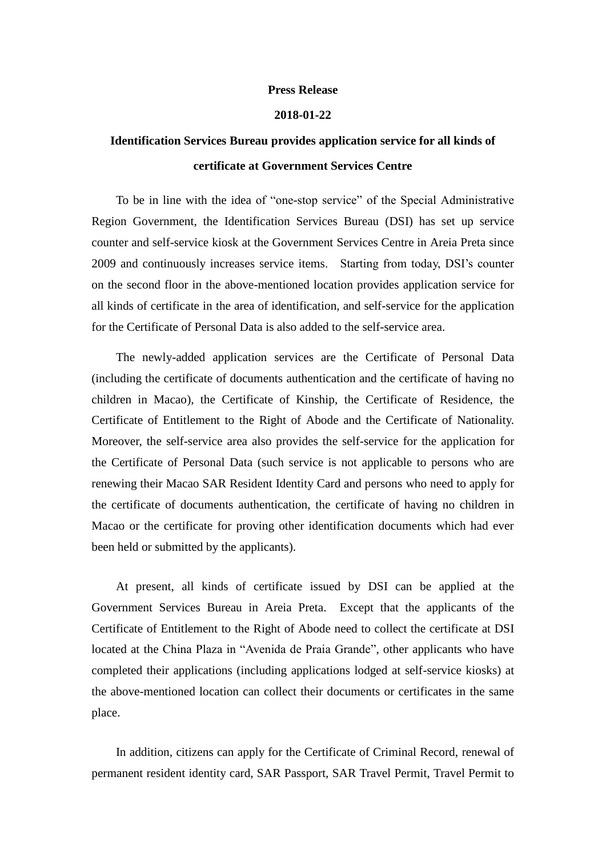## **Press Release**

## **2018-01-22**

## **Identification Services Bureau provides application service for all kinds of certificate at Government Services Centre**

To be in line with the idea of "one-stop service" of the Special Administrative Region Government, the Identification Services Bureau (DSI) has set up service counter and self-service kiosk at the Government Services Centre in Areia Preta since 2009 and continuously increases service items. Starting from today, DSI's counter on the second floor in the above-mentioned location provides application service for all kinds of certificate in the area of identification, and self-service for the application for the Certificate of Personal Data is also added to the self-service area.

The newly-added application services are the Certificate of Personal Data (including the certificate of documents authentication and the certificate of having no children in Macao), the Certificate of Kinship, the Certificate of Residence, the Certificate of Entitlement to the Right of Abode and the Certificate of Nationality. Moreover, the self-service area also provides the self-service for the application for the Certificate of Personal Data (such service is not applicable to persons who are renewing their Macao SAR Resident Identity Card and persons who need to apply for the certificate of documents authentication, the certificate of having no children in Macao or the certificate for proving other identification documents which had ever been held or submitted by the applicants).

At present, all kinds of certificate issued by DSI can be applied at the Government Services Bureau in Areia Preta. Except that the applicants of the Certificate of Entitlement to the Right of Abode need to collect the certificate at DSI located at the China Plaza in "Avenida de Praia Grande", other applicants who have completed their applications (including applications lodged at self-service kiosks) at the above-mentioned location can collect their documents or certificates in the same place.

In addition, citizens can apply for the Certificate of Criminal Record, renewal of permanent resident identity card, SAR Passport, SAR Travel Permit, Travel Permit to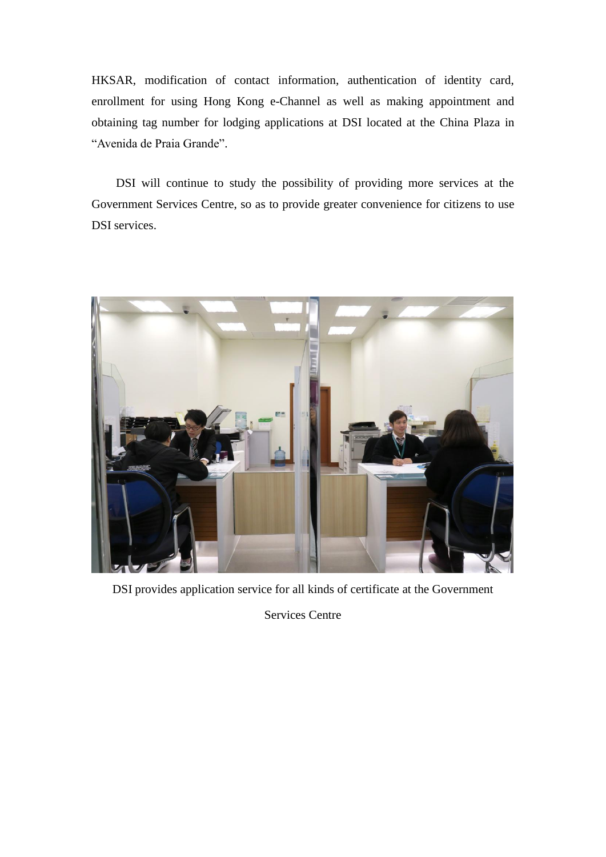HKSAR, modification of contact information, authentication of identity card, enrollment for using Hong Kong e-Channel as well as making appointment and obtaining tag number for lodging applications at DSI located at the China Plaza in "Avenida de Praia Grande".

DSI will continue to study the possibility of providing more services at the Government Services Centre, so as to provide greater convenience for citizens to use DSI services.



DSI provides application service for all kinds of certificate at the Government

Services Centre